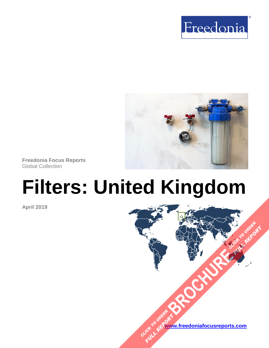



**Freedonia Focus Reports** Global Collection

# **Filters: United Kingdom**

**April 2019**



**[BROCHURE](https://www.freedoniafocusreports.com/Filters-United-Kingdom-FB70036/?progid=89541) CLICK TO ORDER** 

**FULL REPORT**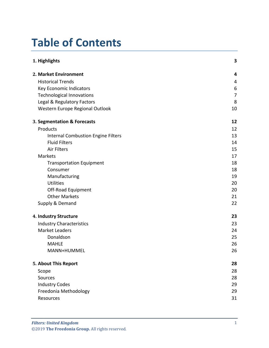# **Table of Contents**

| 1. Highlights                             | 3              |
|-------------------------------------------|----------------|
| 2. Market Environment                     | 4              |
| <b>Historical Trends</b>                  | 4              |
| Key Economic Indicators                   | 6              |
| <b>Technological Innovations</b>          | $\overline{7}$ |
| Legal & Regulatory Factors                | 8              |
| Western Europe Regional Outlook           | 10             |
| 3. Segmentation & Forecasts               | 12             |
| Products                                  | 12             |
| <b>Internal Combustion Engine Filters</b> | 13             |
| <b>Fluid Filters</b>                      | 14             |
| <b>Air Filters</b>                        | 15             |
| Markets                                   | 17             |
| <b>Transportation Equipment</b>           | 18             |
| Consumer                                  | 18             |
| Manufacturing                             | 19             |
| <b>Utilities</b>                          | 20             |
| Off-Road Equipment                        | 20             |
| <b>Other Markets</b>                      | 21             |
| Supply & Demand                           | 22             |
| 4. Industry Structure                     | 23             |
| <b>Industry Characteristics</b>           | 23             |
| <b>Market Leaders</b>                     | 24             |
| Donaldson                                 | 25             |
| <b>MAHLE</b>                              | 26             |
| MANN+HUMMEL                               | 26             |
| 5. About This Report                      | 28             |
| Scope                                     | 28             |
| Sources                                   | 28             |
| <b>Industry Codes</b>                     | 29             |
| Freedonia Methodology                     | 29             |
| Resources                                 | 31             |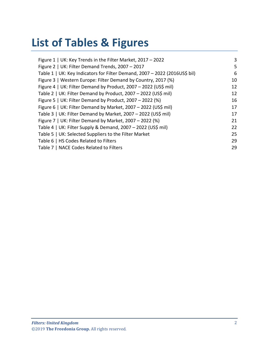# **List of Tables & Figures**

| Figure 1   UK: Key Trends in the Filter Market, 2017 - 2022                | 3  |
|----------------------------------------------------------------------------|----|
| Figure 2   UK: Filter Demand Trends, 2007 - 2017                           | 5  |
| Table 1   UK: Key Indicators for Filter Demand, 2007 - 2022 (2016US\$ bil) | 6  |
| Figure 3   Western Europe: Filter Demand by Country, 2017 (%)              | 10 |
| Figure 4   UK: Filter Demand by Product, 2007 - 2022 (US\$ mil)            | 12 |
| Table 2   UK: Filter Demand by Product, 2007 - 2022 (US\$ mil)             | 12 |
| Figure 5   UK: Filter Demand by Product, 2007 – 2022 (%)                   | 16 |
| Figure 6   UK: Filter Demand by Market, 2007 - 2022 (US\$ mil)             | 17 |
| Table 3   UK: Filter Demand by Market, 2007 - 2022 (US\$ mil)              | 17 |
| Figure 7   UK: Filter Demand by Market, 2007 – 2022 (%)                    | 21 |
| Table 4   UK: Filter Supply & Demand, 2007 - 2022 (US\$ mil)               | 22 |
| Table 5   UK: Selected Suppliers to the Filter Market                      | 25 |
| Table 6   HS Codes Related to Filters                                      | 29 |
| Table 7   NACE Codes Related to Filters                                    | 29 |
|                                                                            |    |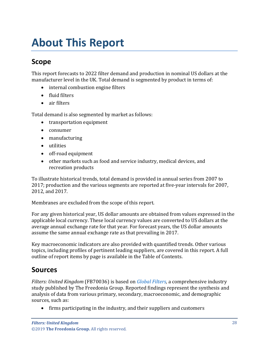# <span id="page-3-1"></span><span id="page-3-0"></span>**Scope**

This report forecasts to 2022 filter demand and production in nominal US dollars at the manufacturer level in the UK. Total demand is segmented by product in terms of:

- internal combustion engine filters
- fluid filters
- air filters

Total demand is also segmented by market as follows:

- transportation equipment
- consumer
- manufacturing
- utilities
- off-road equipment
- other markets such as food and service industry, medical devices, and recreation products

To illustrate historical trends, total demand is provided in annual series from 2007 to 2017; production and the various segments are reported at five-year intervals for 2007, 2012, and 2017.

Membranes are excluded from the scope of this report.

For any given historical year, US dollar amounts are obtained from values expressed in the applicable local currency. These local currency values are converted to US dollars at the average annual exchange rate for that year. For forecast years, the US dollar amounts assume the same annual exchange rate as that prevailing in 2017.

Key macroeconomic indicators are also provided with quantified trends. Other various topics, including profiles of pertinent leading suppliers, are covered in this report. A full outline of report items by page is available in the Table of Contents.

# <span id="page-3-2"></span>**Sources**

*Filters: United Kingdom* (FB70036) is based on *[Global Filters,](http://www.freedoniagroup.com/DocumentDetails.aspx?ReferrerId=FL-FOCUS&studyid=3711)* a comprehensive industry study published by The Freedonia Group. Reported findings represent the synthesis and analysis of data from various primary, secondary, macroeconomic, and demographic sources, such as:

• firms participating in the industry, and their suppliers and customers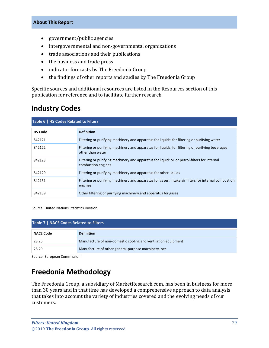- government/public agencies
- intergovernmental and non-governmental organizations
- trade associations and their publications
- the business and trade press
- indicator forecasts by The Freedonia Group
- the findings of other reports and studies by The Freedonia Group

Specific sources and additional resources are listed in the Resources section of this publication for reference and to facilitate further research.

# <span id="page-4-0"></span>**Industry Codes**

<span id="page-4-2"></span>

| Table 6   HS Codes Related to Filters |                                                                                                                      |  |
|---------------------------------------|----------------------------------------------------------------------------------------------------------------------|--|
| <b>HS Code</b>                        | <b>Definition</b>                                                                                                    |  |
| 842121                                | Filtering or purifying machinery and apparatus for liquids: for filtering or purifying water                         |  |
| 842122                                | Filtering or purifying machinery and apparatus for liquids: for filtering or purifying beverages<br>other than water |  |
| 842123                                | Filtering or purifying machinery and apparatus for liquid: oil or petrol-filters for internal<br>combustion engines  |  |
| 842129                                | Filtering or purifying machinery and apparatus for other liquids                                                     |  |
| 842131                                | Filtering or purifying machinery and apparatus for gases: intake air filters for internal combustion<br>engines      |  |
| 842139                                | Other filtering or purifying machinery and apparatus for gases                                                       |  |

Source: United Nations Statistics Division

<span id="page-4-3"></span>

| Table 7   NACE Codes Related to Filters |                                                               |  |
|-----------------------------------------|---------------------------------------------------------------|--|
| <b>NACE Code</b>                        | <b>Definition</b>                                             |  |
| 28.25                                   | Manufacture of non-domestic cooling and ventilation equipment |  |
| 28.29                                   | Manufacture of other general-purpose machinery, nec           |  |

Source: European Commission

# <span id="page-4-1"></span>**Freedonia Methodology**

The Freedonia Group, a subsidiary of MarketResearch.com, has been in business for more than 30 years and in that time has developed a comprehensive approach to data analysis that takes into account the variety of industries covered and the evolving needs of our customers.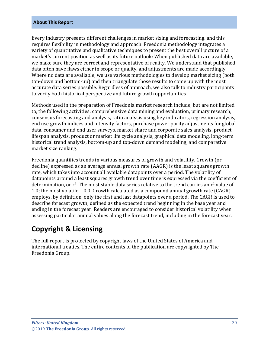Every industry presents different challenges in market sizing and forecasting, and this requires flexibility in methodology and approach. Freedonia methodology integrates a variety of quantitative and qualitative techniques to present the best overall picture of a market's current position as well as its future outlook: When published data are available, we make sure they are correct and representative of reality. We understand that published data often have flaws either in scope or quality, and adjustments are made accordingly. Where no data are available, we use various methodologies to develop market sizing (both top-down and bottom-up) and then triangulate those results to come up with the most accurate data series possible. Regardless of approach, we also talk to industry participants to verify both historical perspective and future growth opportunities.

Methods used in the preparation of Freedonia market research include, but are not limited to, the following activities: comprehensive data mining and evaluation, primary research, consensus forecasting and analysis, ratio analysis using key indicators, regression analysis, end use growth indices and intensity factors, purchase power parity adjustments for global data, consumer and end user surveys, market share and corporate sales analysis, product lifespan analysis, product or market life cycle analysis, graphical data modeling, long-term historical trend analysis, bottom-up and top-down demand modeling, and comparative market size ranking.

Freedonia quantifies trends in various measures of growth and volatility. Growth (or decline) expressed as an average annual growth rate (AAGR) is the least squares growth rate, which takes into account all available datapoints over a period. The volatility of datapoints around a least squares growth trend over time is expressed via the coefficient of determination, or  $r^2$ . The most stable data series relative to the trend carries an  $r^2$  value of 1.0; the most volatile – 0.0. Growth calculated as a compound annual growth rate (CAGR) employs, by definition, only the first and last datapoints over a period. The CAGR is used to describe forecast growth, defined as the expected trend beginning in the base year and ending in the forecast year. Readers are encouraged to consider historical volatility when assessing particular annual values along the forecast trend, including in the forecast year.

# **Copyright & Licensing**

The full report is protected by copyright laws of the United States of America and international treaties. The entire contents of the publication are copyrighted by The Freedonia Group.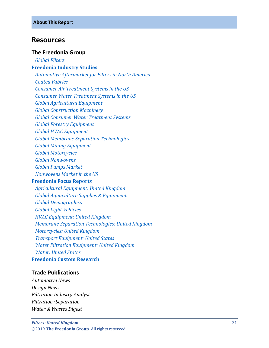# <span id="page-6-0"></span>**Resources**

### **The Freedonia Group**

 *[Global Filters](http://www.freedoniagroup.com/DocumentDetails.aspx?ReferrerId=FL-FOCUS&studyid=3711)*

#### **[Freedonia Industry Studies](http://www.freedoniagroup.com/Home.aspx?ReferrerId=FL-Focus)**

 *[Automotive Aftermarket](http://www.freedoniagroup.com/DocumentDetails.aspx?ReferrerId=FL-FOCUS&studyid=3534) for Filters in North America [Coated Fabrics](http://www.freedoniagroup.com/DocumentDetails.aspx?ReferrerId=FL-FOCUS&studyid=3703) [Consumer Air Treatment](http://www.freedoniagroup.com/DocumentDetails.aspx?ReferrerId=FL-FOCUS&studyid=3592) Systems in the US [Consumer Water Treatment Systems in the US](http://www.freedoniagroup.com/DocumentDetails.aspx?ReferrerId=FL-FOCUS&studyid=3567) [Global Agricultural Equipment](http://www.freedoniagroup.com/DocumentDetails.aspx?ReferrerId=FL-FOCUS&studyid=3683) [Global Construction Machinery](http://www.freedoniagroup.com/DocumentDetails.aspx?ReferrerId=FL-FOCUS&studyid=3539) [Global Consumer Water Treatment Systems](http://www.freedoniagroup.com/DocumentDetails.aspx?ReferrerId=FL-FOCUS&studyid=3651) [Global Forestry Equipment](http://www.freedoniagroup.com/DocumentDetails.aspx?ReferrerId=FL-FOCUS&studyid=3576) [Global HVAC Equipment](http://www.freedoniagroup.com/DocumentDetails.aspx?ReferrerId=FL-FOCUS&studyid=3652) [Global Membrane Separation Technologies](http://www.freedoniagroup.com/DocumentDetails.aspx?ReferrerId=FL-FOCUS&studyid=3718) [Global Mining Equipment](http://www.freedoniagroup.com/DocumentDetails.aspx?ReferrerId=FL-FOCUS&studyid=3629) [Global Motorcycles](http://www.freedoniagroup.com/DocumentDetails.aspx?ReferrerId=FL-FOCUS&studyid=3634) [Global Nonwovens](http://www.freedoniagroup.com/DocumentDetails.aspx?ReferrerId=FL-FOCUS&studyid=3693) [Global Pumps Market](http://www.freedoniagroup.com/DocumentDetails.aspx?ReferrerId=FL-FOCUS&studyid=3625) [Nonwovens Market in the US](http://www.freedoniagroup.com/DocumentDetails.aspx?ReferrerId=FL-FOCUS&studyid=3554)*

#### **[Freedonia Focus Reports](https://www.freedoniafocusreports.com/redirect.asp?progid=89534&url=/)**

 *[Agricultural Equipment: United Kingdom](https://www.freedoniafocusreports.com/Agricultural-Equipment-United-Kingdom-FB75037/?progid=89534) [Global Aquaculture Supplies & Equipment](https://www.freedoniafocusreports.com/Global-Aquaculture-Supplies-Equipment-FW35076/?progid=89534) [Global Demographics](https://www.freedoniafocusreports.com/Global-Demographics-FW95050/?progid=89534) [Global Light Vehicles](https://www.freedoniafocusreports.com/Global-Light-Vehicles-FW85015/?progid=89534) [HVAC Equipment: United Kingdom](https://www.freedoniafocusreports.com/HVAC-Equipment-United-Kingdom-FB75034/?progid=89534) [Membrane Separation Technologies: United Kingdom](https://www.freedoniafocusreports.com/Membrane-Separation-Technologies-United-Kingdom-FB35047/?progid=89534) [Motorcycles: United Kingdom](https://www.freedoniafocusreports.com/Motorcycles-United-Kingdom-FB85016/?progid=89534) [Transport Equipment: United States](https://www.freedoniafocusreports.com/Transport-Equipment-United-States-FF85030/?progid=89534) [Water Filtration Equipment: United Kingdom](https://www.freedoniafocusreports.com/Water-Filtration-Equipment-United-Kingdom-FB70037/?progid=89534) [Water: United States](https://www.freedoniafocusreports.com/Water-United-States-FF95025/?progid=89534)*

### **[Freedonia Custom Research](http://www.freedoniagroup.com/CustomResearch.aspx?ReferrerId=FL-Focus)**

## **Trade Publications**

*Automotive News Design News Filtration Industry Analyst Filtration+Separation Water & Wastes Digest*